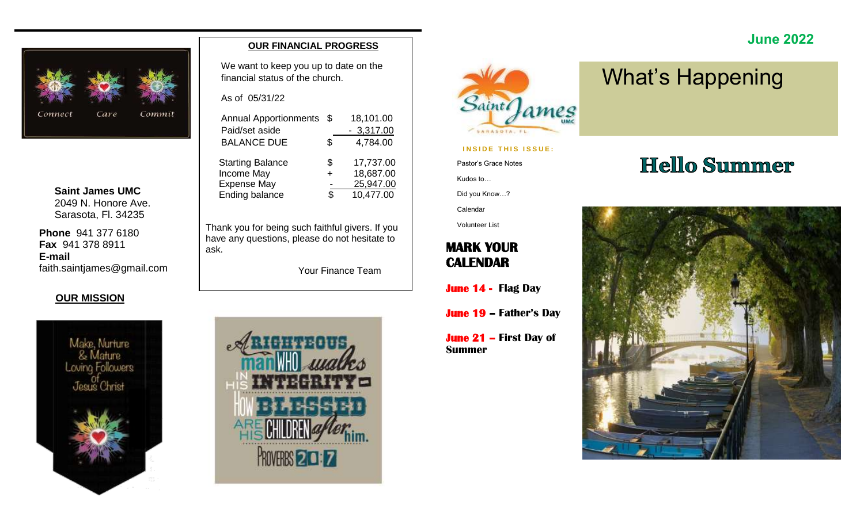

**Saint James UMC** 2049 N. Honore Ave. Sarasota, Fl. 34235

**Phone** 941 377 6180 **Fax** 941 378 8911 **E-mail** faith.saintjames@gmail.com

#### **OUR MISSION**



#### **OUR FINANCIAL PROGRESS**

We want to keep you up to date on the financial status of the church.

As of 05/31/22

| <b>Annual Apportionments</b> | \$.    | 18,101.00   |
|------------------------------|--------|-------------|
| Paid/set aside               |        | $-3,317.00$ |
| <b>BALANCE DUE</b>           | \$     | 4,784.00    |
| <b>Starting Balance</b>      | S      | 17,737.00   |
| Income May                   | $\div$ | 18,687.00   |
| <b>Expense May</b>           |        | 25,947.00   |
| <b>Ending balance</b>        | ዩ      | 10,477.00   |
|                              |        |             |

Thank you for being such faithful givers. If you have any questions, please do not hesitate to ask.

Your Finance Team





**INSIDE THIS ISSUE:** 

Pastor's Grace Notes

Kudos to…

Calendar Volunteer List

Did you Know…?

**MARK YOUR CALENDAR** 

**Summer**

**June 14 - Flag Day** 

**June 19 – Father's Day**

**June 21 – First Day of** 

# What's Happening

# **Hello Summer**

 **June 2022**

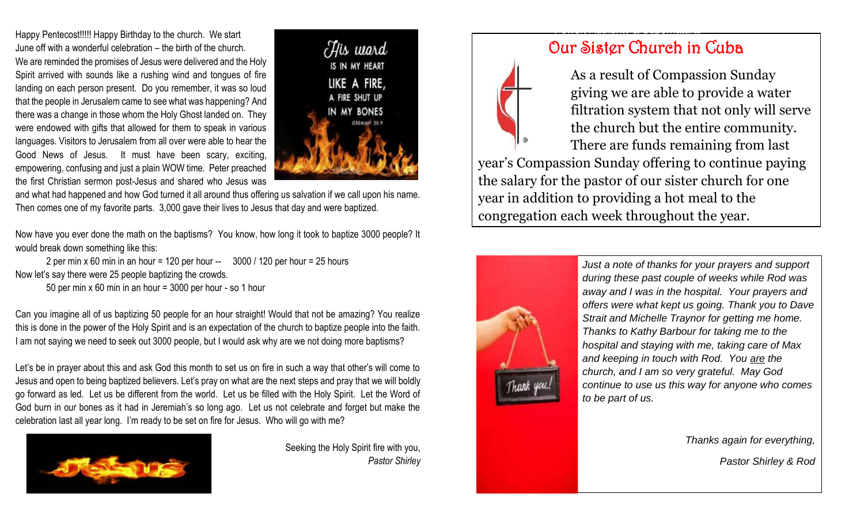Happy Pentecost!!!!! Happy Birthday to the church. We start June off with a wonderful celebration – the birth of the church. We are reminded the promises of Jesus were delivered and the Holy Spirit arrived with sounds like a rushing wind and tongues of fire landing on each person present. Do you remember, it was so loud that the people in Jerusalem came to see what was happening? And there was a change in those whom the Holy Ghost landed on. They were endowed with gifts that allowed for them to speak in various languages. Visitors to Jerusalem from all over were able to hear the Good News of Jesus. It must have been scary, exciting, empowering, confusing and just a plain WOW time. Peter preached the first Christian sermon post-Jesus and shared who Jesus was



and what had happened and how God turned it all around thus offering us salvation if we call upon his name. Then comes one of my favorite parts. 3,000 gave their lives to Jesus that day and were baptized.

Now have you ever done the math on the baptisms? You know, how long it took to baptize 3000 people? It would break down something like this:

2 per min x 60 min in an hour = 120 per hour  $-$  3000 / 120 per hour = 25 hours Now let's say there were 25 people baptizing the crowds.

50 per min x 60 min in an hour = 3000 per hour - so 1 hour

Can you imagine all of us baptizing 50 people for an hour straight! Would that not be amazing? You realize this is done in the power of the Holy Spirit and is an expectation of the church to baptize people into the faith. I am not saying we need to seek out 3000 people, but I would ask why are we not doing more baptisms?

Let's be in prayer about this and ask God this month to set us on fire in such a way that other's will come to Jesus and open to being baptized believers. Let's pray on what are the next steps and pray that we will boldly go forward as led. Let us be different from the world. Let us be filled with the Holy Spirit. Let the Word of God burn in our bones as it had in Jeremiah's so long ago. Let us not celebrate and forget but make the celebration last all year long. I'm ready to be set on fire for Jesus. Who will go with me?



Seeking the Holy Spirit fire with you, *Pastor Shirley*

# Our Sister Church in Cuba

Power, Authority & Supernatural

 As a result of Compassion Sunday giving we are able to provide a water filtration system that not only will serve the church but the entire community. There are funds remaining from last year's Compassion Sunday offering to continue paying the salary for the pastor of our sister church for one year in addition to providing a hot meal to the congregation each week throughout the year.



*Just a note of thanks for your prayers and support during these past couple of weeks while Rod was away and I was in the hospital. Your prayers and offers were what kept us going. Thank you to Dave Strait and Michelle Traynor for getting me home. Thanks to Kathy Barbour for taking me to the hospital and staying with me, taking care of Max and keeping in touch with Rod. You are the church, and I am so very grateful. May God continue to use us this way for anyone who comes to be part of us.*

*Thanks again for everything,*

*Pastor Shirley & Rod*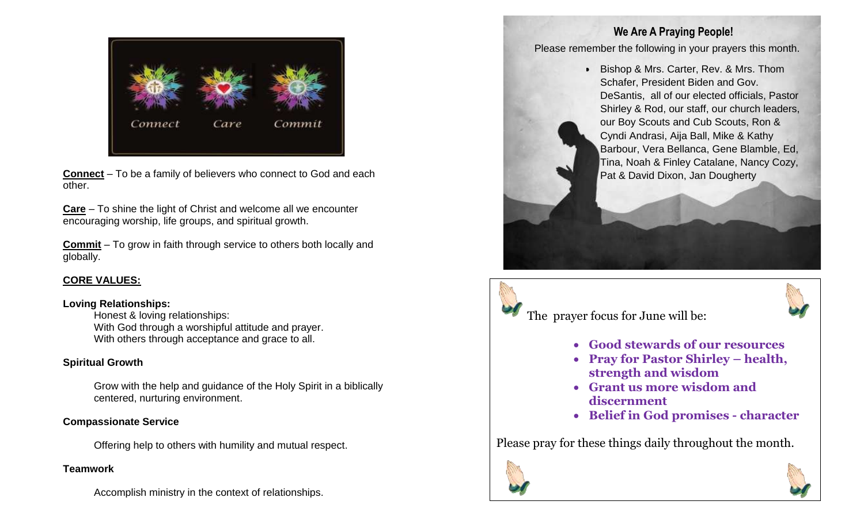

**Connect** – To be a family of believers who connect to God and each **Pat & David Dixon, Jan Dougherty** other.

**Care** – To shine the light of Christ and welcome all we encounter encouraging worship, life groups, and spiritual growth.

**Commit** – To grow in faith through service to others both locally and globally.

#### **CORE VALUES:**

#### **Loving Relationships:**

Honest & loving relationships: With God through a worshipful attitude and prayer. With others through acceptance and grace to all.

#### **Spiritual Growth**

Grow with the help and guidance of the Holy Spirit in a biblically centered, nurturing environment.

#### **Compassionate Service**

Offering help to others with humility and mutual respect.

#### **Teamwork**

Accomplish ministry in the context of relationships.

#### **We Are A Praying People!**

Please remember the following in your prayers this month.

• Bishop & Mrs. Carter, Rev. & Mrs. Thom Schafer, President Biden and Gov. DeSantis, all of our elected officials, Pastor Shirley & Rod, our staff, our church leaders, our Boy Scouts and Cub Scouts, Ron & Cyndi Andrasi, Aija Ball, Mike & Kathy Barbour, Vera Bellanca, Gene Blamble, Ed, Tina, Noah & Finley Catalane, Nancy Cozy,





- **Good stewards of our resources**
- **Pray for Pastor Shirley – health, strength and wisdom**
- **Grant us more wisdom and discernment**
- **Belief in God promises - character**

Please pray for these things daily throughout the month.



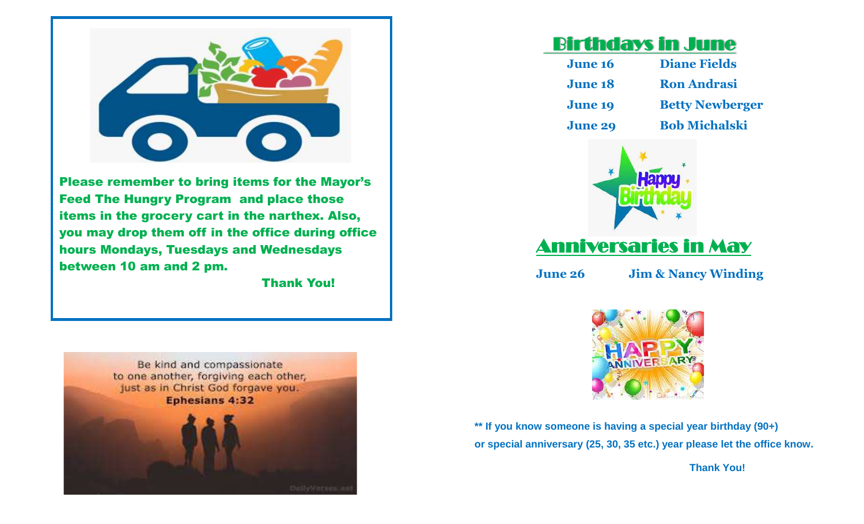

Please remember to bring items for the Mayor's Feed The Hungry Program and place those items in the grocery cart in the narthex. Also, you may drop them off in the office during office hours Mondays, Tuesdays and Wednesdays between 10 am and 2 pm.

Thank You!



# Birthdays in June

| <b>June 16</b> | <b>Diane Fields</b>    |
|----------------|------------------------|
| <b>June 18</b> | <b>Ron Andrasi</b>     |
| <b>June 19</b> | <b>Betty Newberger</b> |
| <b>June 29</b> | <b>Bob Michalski</b>   |



# Anniversaries in May

**June 26 Jim & Nancy Winding**



**\*\* If you know someone is having a special year birthday (90+) or special anniversary (25, 30, 35 etc.) year please let the office know.** 

 **Thank You!**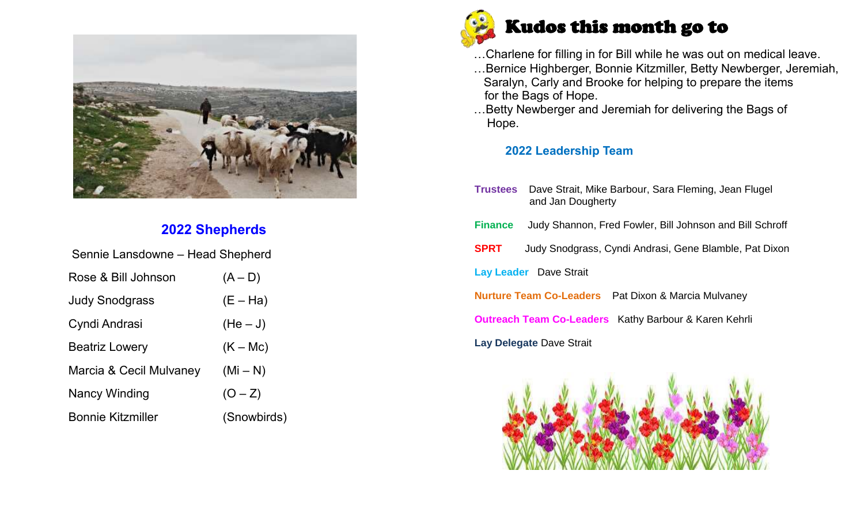

## **2022 Shepherds**

| Sennie Lansdowne – Head Shepherd |             |
|----------------------------------|-------------|
| Rose & Bill Johnson              | $(A - D)$   |
| <b>Judy Snodgrass</b>            | $(E - Ha)$  |
| Cyndi Andrasi                    | $(He-J)$    |
| <b>Beatriz Lowery</b>            | $(K - Mc)$  |
| Marcia & Cecil Mulvaney          | $(Mi - N)$  |
| <b>Nancy Winding</b>             | $(O - Z)$   |
| <b>Bonnie Kitzmiller</b>         | (Snowbirds) |



- …Charlene for filling in for Bill while he was out on medical leave.
- …Bernice Highberger, Bonnie Kitzmiller, Betty Newberger, Jeremiah, Saralyn, Carly and Brooke for helping to prepare the items for the Bags of Hope.
- …Betty Newberger and Jeremiah for delivering the Bags of Hope.

#### **2022 Leadership Team**

|                                                                       | <b>Trustees</b> Dave Strait, Mike Barbour, Sara Fleming, Jean Flugel<br>and Jan Dougherty |  |  |  |  |  |  |  |  |  |
|-----------------------------------------------------------------------|-------------------------------------------------------------------------------------------|--|--|--|--|--|--|--|--|--|
| <b>Finance</b>                                                        | Judy Shannon, Fred Fowler, Bill Johnson and Bill Schroff                                  |  |  |  |  |  |  |  |  |  |
| <b>SPRT</b><br>Judy Snodgrass, Cyndi Andrasi, Gene Blamble, Pat Dixon |                                                                                           |  |  |  |  |  |  |  |  |  |
| <b>Lay Leader</b> Dave Strait                                         |                                                                                           |  |  |  |  |  |  |  |  |  |
|                                                                       | <b>Nurture Team Co-Leaders</b> Pat Dixon & Marcia Mulvaney                                |  |  |  |  |  |  |  |  |  |
|                                                                       | <b>Outreach Team Co-Leaders</b> Kathy Barbour & Karen Kehrli                              |  |  |  |  |  |  |  |  |  |
|                                                                       | Lay Delegate Dave Strait                                                                  |  |  |  |  |  |  |  |  |  |
|                                                                       |                                                                                           |  |  |  |  |  |  |  |  |  |

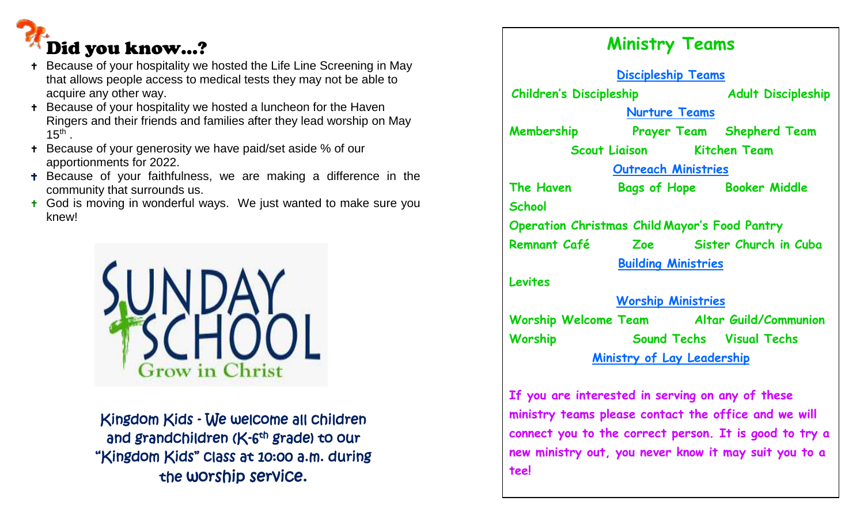# Did you know…?

- Because of your hospitality we hosted the Life Line Screening in May that allows people access to medical tests they may not be able to acquire any other way.
- **+** Because of your hospitality we hosted a luncheon for the Haven Ringers and their friends and families after they lead worship on May  $15<sup>th</sup>$ .
- Because of your generosity we have paid/set aside % of our apportionments for 2022.
- **+** Because of your faithfulness, we are making a difference in the community that surrounds us.
- **t** God is moving in wonderful ways. We just wanted to make sure you knew!



Kingdom Kids - We welcome all children and grandchildren (K-6<sup>th</sup> grade) <del>t</del>o our "Kingdom Kids" class at 10:00 a.m. during the worship service.

# **Ministry Teams Discipleship Teams Children's Discipleship Adult Discipleship Nurture Teams Membership Prayer Team Shepherd Team Scout Liaison Kitchen Team Outreach Ministries The Haven Bags of Hope Booker Middle School Operation Christmas Child Mayor's Food Pantry Remnant Café Zoe Sister Church in Cuba Building Ministries Levites Worship Ministries Worship Welcome Team Altar Guild/Communion Worship Sound Techs Visual Techs Ministry of Lay Leadership If you are interested in serving on any of these**

**ministry teams please contact the office and we will connect you to the correct person. It is good to try a new ministry out, you never know it may suit you to a tee!**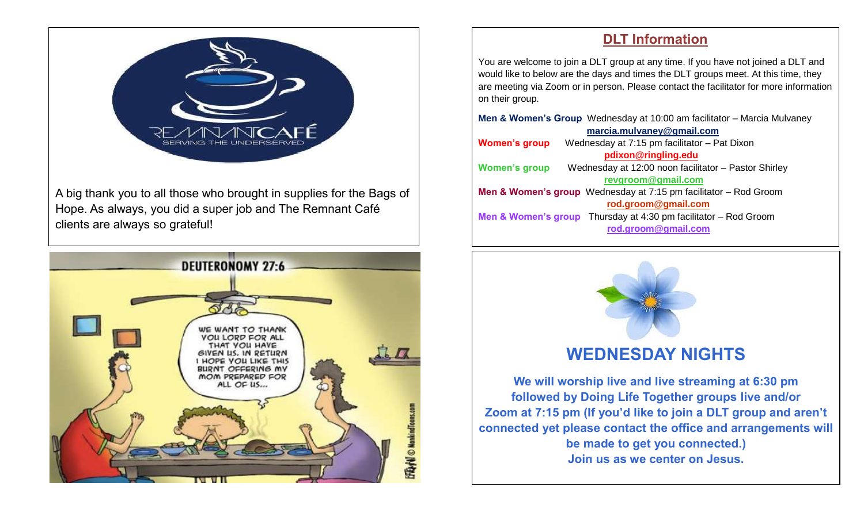

A big thank you to all those who brought in supplies for the Bags of Hope. As always, you did a super job and The Remnant Café clients are always so grateful!



#### **DLT Information**

You are welcome to join a DLT group at any time. If you have not joined a DLT and would like to below are the days and times the DLT groups meet. At this time, they are meeting via Zoom or in person. Please contact the facilitator for more information on their group.

| Men & Women's Group Wednesday at 10:00 am facilitator - Marcia Mulvaney         |  |  |  |  |  |  |  |  |  |
|---------------------------------------------------------------------------------|--|--|--|--|--|--|--|--|--|
| marcia.mulvaney@gmail.com                                                       |  |  |  |  |  |  |  |  |  |
| Wednesday at 7:15 pm facilitator - Pat Dixon<br><b>Women's group</b>            |  |  |  |  |  |  |  |  |  |
| pdixon@ringling.edu                                                             |  |  |  |  |  |  |  |  |  |
| Wednesday at 12:00 noon facilitator - Pastor Shirley<br><b>Women's group</b>    |  |  |  |  |  |  |  |  |  |
| revgroom@gmail.com                                                              |  |  |  |  |  |  |  |  |  |
| <b>Men &amp; Women's group</b> Wednesday at $7:15$ pm facilitator $-$ Rod Groom |  |  |  |  |  |  |  |  |  |
| rod.groom@gmail.com                                                             |  |  |  |  |  |  |  |  |  |
| <b>Men &amp; Women's group</b> Thursday at 4:30 pm facilitator $-$ Rod Groom    |  |  |  |  |  |  |  |  |  |
| rod.groom@gmail.com                                                             |  |  |  |  |  |  |  |  |  |
|                                                                                 |  |  |  |  |  |  |  |  |  |



## **WEDNESDAY NIGHTS**

**We will worship live and live streaming at 6:30 pm followed by Doing Life Together groups live and/or Zoom at 7:15 pm (If you'd like to join a DLT group and aren't connected yet please contact the office and arrangements will be made to get you connected.) Join us as we center on Jesus.**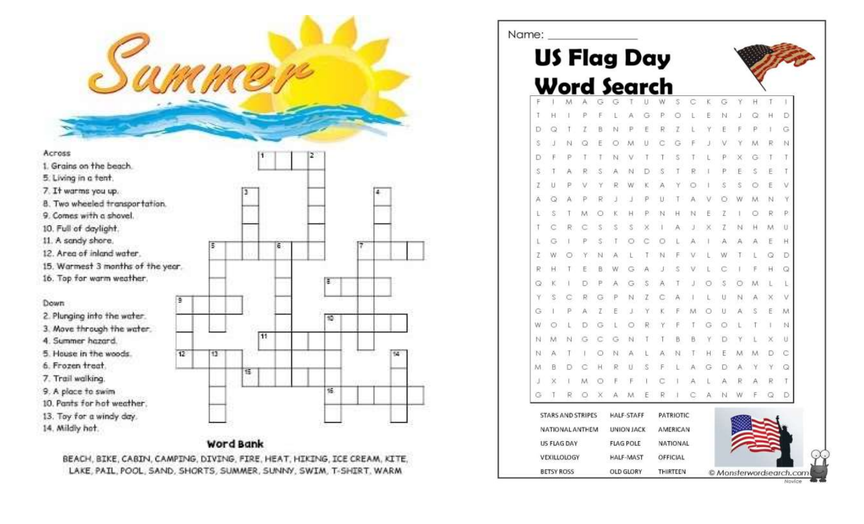| Sammer                                          |                 |    |    |    |    |
|-------------------------------------------------|-----------------|----|----|----|----|
|                                                 |                 |    |    |    |    |
| Across                                          |                 |    |    | z  |    |
| 1. Grains on the beach.                         |                 |    |    |    |    |
| 5. Living in a fent.                            |                 |    |    |    |    |
| 7. It warms you up.                             |                 |    | э  |    |    |
| 8. Two wheeled transportation.                  |                 |    |    |    |    |
| 9. Comes with a shovel.                         |                 |    |    |    |    |
| 10. Full of daylight.                           |                 |    |    |    |    |
| 11. A sandy shore,                              |                 | 5  | ε  |    |    |
| 12. Area of inland water.                       |                 |    |    |    |    |
| 15. Warmest 3 months of the year.               |                 |    |    |    |    |
| 16. Top for warm weather.                       |                 |    |    | ē  |    |
|                                                 | э               |    |    |    |    |
| Down                                            |                 |    |    |    |    |
| 2. Plunging into the water.                     |                 |    |    | 10 |    |
| 3. Move through the water.<br>4. Summer hazard. |                 |    | 11 |    |    |
| 5. House in the woods.                          | $\overline{12}$ | 13 |    |    | t4 |
| 6. Frozen treat.                                |                 |    |    |    |    |
| 7. Trail walking.                               |                 |    | π  |    |    |
| 9. A place to swim                              |                 |    |    | 裝  |    |
| 10. Pants for hot weather.                      |                 |    |    |    |    |
| 13. Toy for a windy day.                        |                 |    |    |    |    |
| 14. Mildly hot.                                 |                 |    |    |    |    |

#### Word Bank

BEACH, BIKE, CABIN, CAMPING, DIVING, FIRE, HEAT, HIKING, ICE CREAM, KITE, LAKE, PAIL, POOL, SAND, SHORTS, SUMMER, SUNINY, SWIM, T-SHIRT, WARM

| Name: |                    |   |                   |   |                    |                   |   |    |           |   |   |   |   |    |    |                         |
|-------|--------------------|---|-------------------|---|--------------------|-------------------|---|----|-----------|---|---|---|---|----|----|-------------------------|
|       |                    |   |                   |   | US Flag Day        |                   |   |    |           |   |   |   |   |    |    |                         |
|       |                    |   |                   |   |                    |                   |   |    |           |   |   |   |   |    |    |                         |
|       |                    |   |                   |   | <b>Word Search</b> |                   |   |    |           |   |   |   |   |    |    |                         |
|       |                    | М |                   |   |                    |                   |   |    | s         | c | κ | G | Y | Ħ. | T  |                         |
|       | н                  |   | ₽                 |   |                    |                   |   |    |           |   | E |   |   | Q  | н  | Ð                       |
| Ð     |                    |   |                   |   |                    |                   |   | R  | z         |   |   |   |   | P  |    | G                       |
| S     |                    |   |                   |   |                    | M                 |   |    |           |   |   |   |   | M  | R  | N                       |
| Ð     |                    |   |                   |   | N                  |                   |   |    | s         |   |   |   |   | G  |    | T                       |
| S     |                    |   | R                 | S |                    |                   |   | S  | T         |   |   | P | Ε | s  | Ε  | Τ                       |
| z     | U                  |   |                   |   |                    |                   |   |    |           |   |   |   | s |    | E  |                         |
| А     |                    |   |                   | R |                    |                   |   | Ш  |           |   |   |   |   | M  | Ν  | γ                       |
| ı     | S                  |   | M                 |   |                    |                   | ₽ | N  | н         | N | E | Z |   | O  | R  | ₽                       |
| Т     |                    | R |                   | s | s                  |                   |   | ı. | д         |   |   |   | N | H  | M, | U                       |
|       |                    |   |                   |   |                    |                   |   |    |           |   |   |   |   |    | E  | н                       |
| Z     | W                  |   |                   | N | А                  |                   |   | N  | F         |   |   | w | T |    | Q  | D                       |
| R     | Ħ                  |   | E                 | B | W                  |                   |   |    | s         |   |   |   |   | F  | Ħ  | Q                       |
| Q     |                    |   |                   |   |                    | G                 | S |    |           |   |   |   |   | M  |    |                         |
|       |                    |   |                   |   |                    | N                 | Z |    |           |   |   | U | N |    |    | ν                       |
| G     |                    |   | А                 | Z | Ε                  |                   |   |    |           |   |   | U | А | S  | €  | M                       |
| W     |                    |   |                   |   |                    |                   |   |    |           |   |   |   |   |    |    | N                       |
| N     | м                  |   |                   |   |                    | N                 |   |    | B         | B |   |   |   |    |    | u                       |
| N     | Α                  |   |                   | O | N                  |                   |   |    | N         |   | н | E | М | M  | Ð  | С                       |
| M     | B                  |   |                   | Н | R                  |                   | S |    |           |   | G | Ð | Α | y  | ¥  | Q                       |
| U     |                    |   | М                 |   |                    |                   |   |    |           |   |   |   |   |    | R  | Τ                       |
| G     |                    |   |                   |   |                    |                   |   |    |           |   |   |   |   |    | ω  | Ð                       |
|       |                    |   | STARS AND STRIPES |   |                    | HALF-STAFF        |   |    | PATRIOTIC |   |   |   |   |    |    |                         |
|       |                    |   | NATIONAL ANTHEM   |   |                    | <b>UNION JACK</b> |   |    | AMERICAN  |   |   |   |   |    |    |                         |
|       | US FLAG DAY        |   |                   |   |                    | <b>FLAG POLE</b>  |   |    | NATIONAL  |   |   |   |   |    |    |                         |
|       | <b>VEXILLOLOGY</b> |   |                   |   |                    | <b>HALF-MAST</b>  |   |    | OFFICIAL  |   |   |   |   |    |    |                         |
|       | <b>BETSY ROSS</b>  |   |                   |   |                    | OLD GLORY         |   |    | THIRTEEN  |   |   |   |   |    |    | © Monsterwordsearch.com |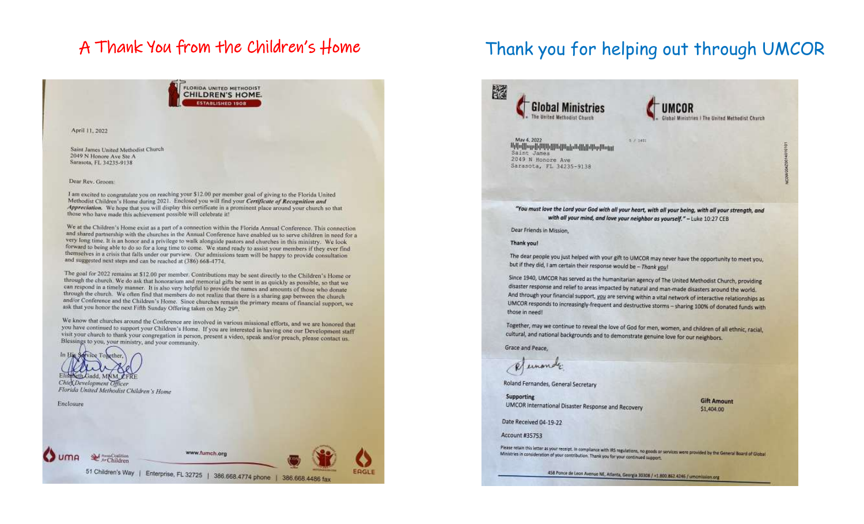# A Thank You from the Children's Home

FLORIDA UNITED METHODIST **CHILDREN'S HOME. ESTABLISHED 1908** 

April 11, 2022

Saint James United Methodist Church 2049 N Honore Ave Ste A Sarasota, FL 34235-9138

#### Dear Rev. Groom:

I am excited to congratulate you on reaching your \$12.00 per member goal of giving to the Florida United Methodist Children's Home during 2021. Enclosed you will find your Certificate of Recognition and Appreciation. We hope that you will display this certificate in a prominent place around your church so that those who have made this achievement possible will celebrate it!

We at the Children's Home exist as a part of a connection within the Florida Annual Conference. This connection and shared partnership with the churches in the Annual Conference have enabled us to serve children in need for a very long time. It is an honor and a privilege to walk alongside pastors and churches in this ministry. We look forward to being able to do so for a long time to come. We stand ready to assist your members if they ever find themselves in a crisis that falls under our purview. Our admissions team will be happy to provide consultation and suggested next steps and can be reached at (386) 668-4774.

The goal for 2022 remains at \$12.00 per member. Contributions may be sent directly to the Children's Home or through the church. We do ask that honorarium and memorial gifts be sent in as quickly as possible, so that we can respond in a timely manner. It is also very helpful to provide the names and amounts of those who donate through the church. We often find that members do not realize that there is a sharing gap between the church and/or Conference and the Children's Home. Since churches remain the primary means of financial support, we ask that you honor the next Fifth Sunday Offering taken on May 29<sup>n</sup>.

We know that churches around the Conference are involved in various missional efforts, and we are honored that you have continued to support your Children's Home. If you are interested in having one our Development staff visit your church to thank your congregation in person, present a video, speak and/or preach, please contact us-Blessings to you, your ministry, and your community.



# Thank you for helping out through UMCOR

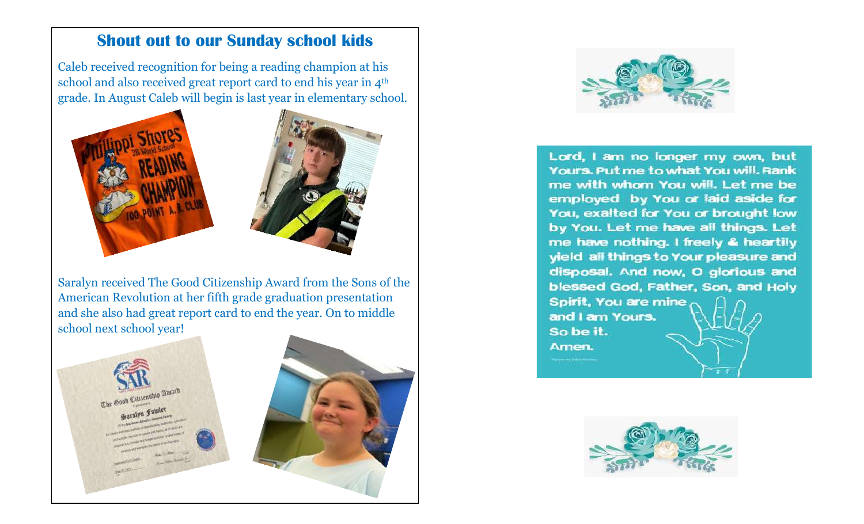### **Shout out to our Sunday school kids**

Caleb received recognition for being a reading champion at his school and also received great report card to end his year in 4<sup>th</sup> grade. In August Caleb will begin is last year in elementary school.



Saralyn received The Good Citizenship Award from the Sons of the American Revolution at her fifth grade graduation presentation and she also had great report card to end the year. On to middle school next school year!





Lord, I am no longer my own, but Yours. Put me to what You will. Rank me with whom You will. Let me be employed by You or laid aside for You, exalted for You or brought low by You. Let me have all things. Let me have nothing. I freely & heartily yield all things to Your pleasure and disposal. And now, O glorious and blessed God, Father, Son, and Holy Spirit, You are mine and I am Yours. So be it. Amen.

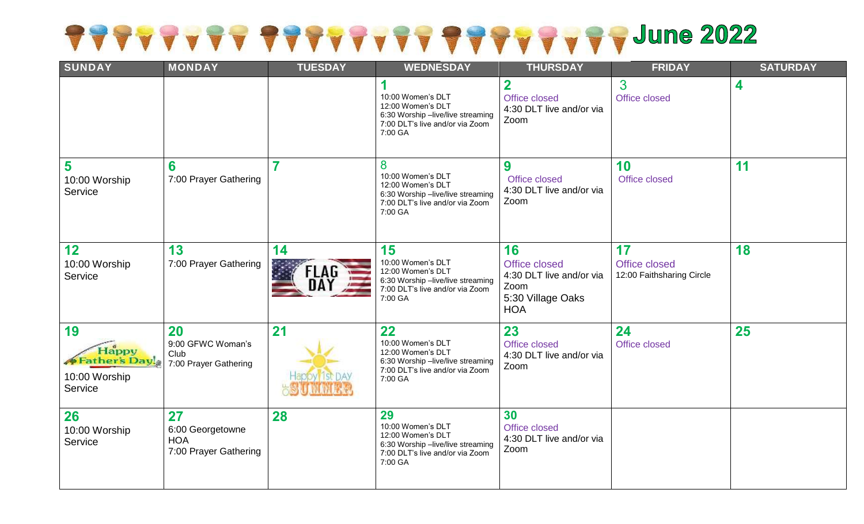# SAAAAAAA SAAAAAAAAAAAAAAAAA 705 700 100 2022

| <b>SUNDAY</b>                                            | <b>MONDAY</b>                                                 | <b>TUESDAY</b> | <b>WEDNESDAY</b>                                                                                                                | <b>THURSDAY</b>                                                                            | <b>FRIDAY</b>                                    | <b>SATURDAY</b> |
|----------------------------------------------------------|---------------------------------------------------------------|----------------|---------------------------------------------------------------------------------------------------------------------------------|--------------------------------------------------------------------------------------------|--------------------------------------------------|-----------------|
|                                                          |                                                               |                | 10:00 Women's DLT<br>12:00 Women's DLT<br>6:30 Worship -live/live streaming<br>7:00 DLT's live and/or via Zoom<br>7:00 GA       | $\overline{\mathbf{2}}$<br>Office closed<br>4:30 DLT live and/or via<br>Zoom               | 3<br>Office closed                               | 4               |
| 5<br>10:00 Worship<br>Service                            | 6<br>7:00 Prayer Gathering                                    | 7              | 8<br>10:00 Women's DLT<br>12:00 Women's DLT<br>6:30 Worship -live/live streaming<br>7:00 DLT's live and/or via Zoom<br>7:00 GA  | 9<br>Office closed<br>4:30 DLT live and/or via<br>Zoom                                     | 10<br>Office closed                              | 11              |
| 12<br>10:00 Worship<br>Service                           | 13<br>7:00 Prayer Gathering                                   | 14<br>FLAG     | 15<br>10:00 Women's DLT<br>12:00 Women's DLT<br>6:30 Worship -live/live streaming<br>7:00 DLT's live and/or via Zoom<br>7:00 GA | 16<br>Office closed<br>4:30 DLT live and/or via<br>Zoom<br>5:30 Village Oaks<br><b>HOA</b> | 17<br>Office closed<br>12:00 Faithsharing Circle | 18              |
| 19<br>Happy<br>Father's Day!<br>10:00 Worship<br>Service | 20<br>9:00 GFWC Woman's<br>Club<br>7:00 Prayer Gathering      | 21             | 22<br>10:00 Women's DLT<br>12:00 Women's DLT<br>6:30 Worship -live/live streaming<br>7:00 DLT's live and/or via Zoom<br>7:00 GA | 23<br>Office closed<br>4:30 DLT live and/or via<br>Zoom                                    | 24<br>Office closed                              | 25              |
| 26<br>10:00 Worship<br>Service                           | 27<br>6:00 Georgetowne<br><b>HOA</b><br>7:00 Prayer Gathering | 28             | 29<br>10:00 Women's DLT<br>12:00 Women's DLT<br>6:30 Worship -live/live streaming<br>7:00 DLT's live and/or via Zoom<br>7:00 GA | 30<br>Office closed<br>4:30 DLT live and/or via<br>Zoom                                    |                                                  |                 |